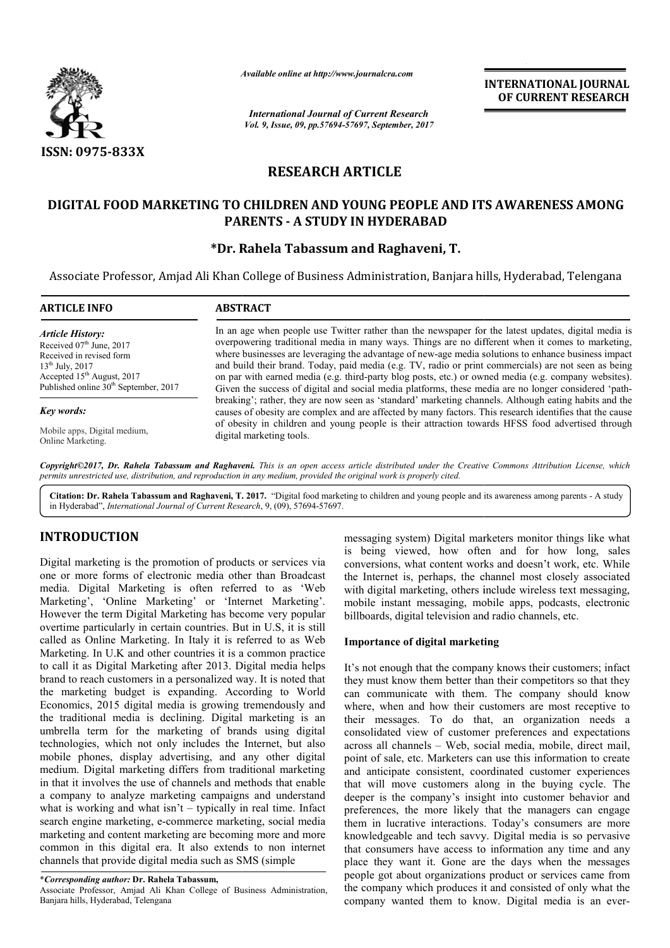

*Available online at http://www.journalcra.com*

*International Journal of Current Research Vol. 9, Issue, 09, pp.57694-57697, September, 2017* **INTERNATIONAL JOURNAL OF CURRENT RESEARCH**

# **RESEARCH ARTICLE**

# **DIGITAL FOOD MARKETING TO CHILDREN AND YOUNG PEOPLE AND ITS AWARENESS AMONG PARENTS - A STUDY IN HYDERABAD**

# **\*Dr. Rahela Tabassum and Raghaveni Dr. Raghaveni, T.**

Associate Professor, Amjad Ali Khan College of Business Administration, Banjara hills, Hyderabad, Telengana Hyderabad,

| <b>ARTICLE INFO</b>                                                                                                                                                                                      | <b>ABSTRACT</b>                                                                                                                                                                                                                                                                                                                                                                                                                                                                                                                                                                                                                                                                                                                                                                                                                                                                                                                                                                             |
|----------------------------------------------------------------------------------------------------------------------------------------------------------------------------------------------------------|---------------------------------------------------------------------------------------------------------------------------------------------------------------------------------------------------------------------------------------------------------------------------------------------------------------------------------------------------------------------------------------------------------------------------------------------------------------------------------------------------------------------------------------------------------------------------------------------------------------------------------------------------------------------------------------------------------------------------------------------------------------------------------------------------------------------------------------------------------------------------------------------------------------------------------------------------------------------------------------------|
| <b>Article History:</b><br>Received $07th$ June, 2017<br>Received in revised form<br>$13^{th}$ July, 2017<br>Accepted 15 <sup>th</sup> August, 2017<br>Published online 30 <sup>th</sup> September, 2017 | In an age when people use Twitter rather than the newspaper for the latest updates, digital media is<br>overpowering traditional media in many ways. Things are no different when it comes to marketing,<br>where businesses are leveraging the advantage of new-age media solutions to enhance business impact<br>and build their brand. Today, paid media (e.g. TV, radio or print commercials) are not seen as being<br>on par with earned media (e.g. third-party blog posts, etc.) or owned media (e.g. company websites).<br>Given the success of digital and social media platforms, these media are no longer considered 'path-<br>breaking'; rather, they are now seen as 'standard' marketing channels. Although eating habits and the<br>causes of obesity are complex and are affected by many factors. This research identifies that the cause<br>of obesity in children and young people is their attraction towards HFSS food advertised through<br>digital marketing tools. |
| Key words:                                                                                                                                                                                               |                                                                                                                                                                                                                                                                                                                                                                                                                                                                                                                                                                                                                                                                                                                                                                                                                                                                                                                                                                                             |
| Mobile apps, Digital medium,<br>Online Marketing.                                                                                                                                                        |                                                                                                                                                                                                                                                                                                                                                                                                                                                                                                                                                                                                                                                                                                                                                                                                                                                                                                                                                                                             |

Copyright©2017, Dr. Rahela Tabassum and Raghaveni. This is an open access article distributed under the Creative Commons Attribution License, which permits unrestricted use, distribution, and reproduction in any medium, provided the original work is properly cited.

Citation: Dr. Rahela Tabassum and Raghaveni, T. 2017. "Digital food marketing to children and young people and its awareness among parents - A study in Hyderabad", *International Journal of Current Research* , 9, (09), 57694-57697.

# **INTRODUCTION**

Digital marketing is the promotion of products or services via one or more forms of electronic media other than Broadcast media. Digital Marketing is often referred to as 'Web Marketing', 'Online Marketing' or 'Internet Marketing'. However the term Digital Marketing has become very popular overtime particularly in certain countries. But in U.S, it is still called as Online Marketing. In Italy it is referred to as Web Marketing. In U.K and other countries it is a common practice to call it as Digital Marketing after 2013. Digital media helps brand to reach customers in a personalized way. It is noted that the marketing budget is expanding. According to World Economics, 2015 digital media is growing tremendously and the traditional media is declining. Digital marketing is an umbrella term for the marketing of brands using digital technologies, which not only includes the Internet, but also mobile phones, display advertising, and any other digital medium. Digital marketing differs from traditional marketing in that it involves the use of channels and methods that enable a company to analyze marketing campaigns and understand what is working and what isn't – typically in real time. Infact search engine marketing, e-commerce marketing, social media marketing and content marketing are becoming more and more common in this digital era. It also extends to non internet channels that provide digital media such as SMS (simple untries it is a common practice<br>offer 2013. Digital media helps<br>presonalized way. It is noted that<br>anding. According to World<br>is growing tremendously and

Associate Professor, Amjad Ali Khan College of Business Administration, Banjara hills, Hyderabad, Telengana

is being viewed, how often and for how long, sales conversions, what content works and doesn't work, etc. While the Internet is, perhaps, the channel most closely associated with digital marketing, others include wireless text messaging, mobile instant messaging, mobile apps, podcasts, electronic billboards, digital television and radio channels, etc. saging system) Digital marketers monitor things like what being viewed, how often and for how long, sales versions, what content works and doesn't work, etc. While Internet is, perhaps, the channel most closely associated

## Importance of digital marketing

messaging system) Digital marketers monitor things like what<br>is being viewed, how often and for how long, alse<br>tronic media other and products<br>to conversions, what content works and doesn't work, etc. While<br>it is often ref It's not enough that the company knows their customers; infact they must know them better than their competitors so that they can communicate with them. The company should know where, when and how their customers are most receptive to their messages. To do that, an organization needs a consolidated view of customer preferences and expectations across all channels – Web, social media, mobile, direct mail, point of sale, etc. Marketers can use this information to create and anticipate consistent, coordinated customer experiences that will move customers along in the buying cycle. The deeper is the company's insight into customer behavior and that will move customers along in the buying cycle. The deeper is the company's insight into customer behavior and preferences, the more likely that the managers can engage them in lucrative interactions. Today's consumers are more knowledgeable and tech savvy. Digital media is so pervasive that consumers have access to information any time and any place they want it. Gone are the days when the messages people got about organizations product or services came from the company which produces it and consisted of only what the company wanted them to know. Digital media is an ever of enough that the company knows their customers; infact<br>must know them better than their company should know<br>i, when and how their customers are most receptive to<br>messages. To do that, an organization needs a<br>lidated view ve access to information any time and any<br>t. Gone are the days when the messages<br>rganizations product or services came from<br>h produces it and consisted of only what the<br>them to know. Digital media is an ever-

<sup>\*</sup>*Corresponding author:* **Dr. Rahela Tabassum,**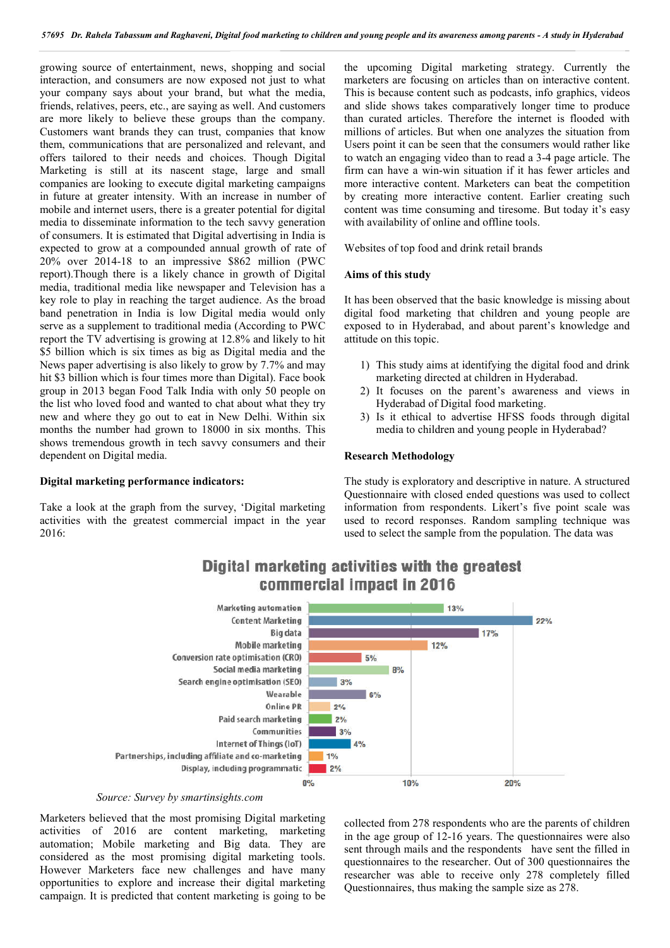growing source of entertainment, news, shopping and social interaction, and consumers are now exposed not just to what your company says about your brand, but what the media, friends, relatives, peers, etc., are saying as well. And customers are more likely to believe these groups than the company. Customers want brands they can trust, companies that know them, communications that are personalized and relevant, and offers tailored to their needs and choices. Though Digital Marketing is still at its nascent stage, large and small companies are looking to execute digital marketing campaigns in future at greater intensity. With an increase in number of mobile and internet users, there is a greater potential for digital media to disseminate information to the tech savvy generation of consumers. It is estimated that Digital advertising in India is expected to grow at a compounded annual growth of rate of 20% over 2014-18 to an impressive \$862 million (PWC report).Though there is a likely chance in growth of Digital media, traditional media like newspaper and Television has a key role to play in reaching the target audience. As the broad band penetration in India is low Digital media would only serve as a supplement to traditional media (According to PWC report the TV advertising is growing at 12.8% and likely to hit \$5 billion which is six times as big as Digital media and the News paper advertising is also likely to grow by 7.7% and may hit \$3 billion which is four times more than Digital). Face book group in 2013 began Food Talk India with only 50 people on the list who loved food and wanted to chat about what they try new and where they go out to eat in New Delhi. Within six months the number had grown to 18000 in six months. This shows tremendous growth in tech savvy consumers and their dependent on Digital media.

### **Digital marketing performance indicators:**

Take a look at the graph from the survey, 'Digital marketing activities with the greatest commercial impact in the year 2016:

the upcoming Digital marketing strategy. Currently the marketers are focusing on articles than on interactive content. This is because content such as podcasts, info graphics, videos and slide shows takes comparatively longer time to produce than curated articles. Therefore the internet is flooded with millions of articles. But when one analyzes the situation from Users point it can be seen that the consumers would rather like to watch an engaging video than to read a 3-4 page article. The firm can have a win-win situation if it has fewer articles and more interactive content. Marketers can beat the competition by creating more interactive content. Earlier creating such content was time consuming and tiresome. But today it's easy with availability of online and offline tools.

Websites of top food and drink retail brands

### **Aims of this study**

It has been observed that the basic knowledge is missing about digital food marketing that children and young people are exposed to in Hyderabad, and about parent's knowledge and attitude on this topic.

- 1) This study aims at identifying the digital food and drink marketing directed at children in Hyderabad.
- 2) It focuses on the parent's awareness and views in Hyderabad of Digital food marketing.
- 3) Is it ethical to advertise HFSS foods through digital media to children and young people in Hyderabad?

### **Research Methodology**

The study is exploratory and descriptive in nature. A structured Questionnaire with closed ended questions was used to collect information from respondents. Likert's five point scale was used to record responses. Random sampling technique was used to select the sample from the population. The data was



# Digital marketing activities with the greatest commercial impact in 2016

#### *Source: Survey by smartinsights.com*

Marketers believed that the most promising Digital marketing activities of 2016 are content marketing, marketing automation; Mobile marketing and Big data. They are considered as the most promising digital marketing tools. However Marketers face new challenges and have many opportunities to explore and increase their digital marketing campaign. It is predicted that content marketing is going to be

collected from 278 respondents who are the parents of children in the age group of 12-16 years. The questionnaires were also sent through mails and the respondents have sent the filled in questionnaires to the researcher. Out of 300 questionnaires the researcher was able to receive only 278 completely filled Questionnaires, thus making the sample size as 278.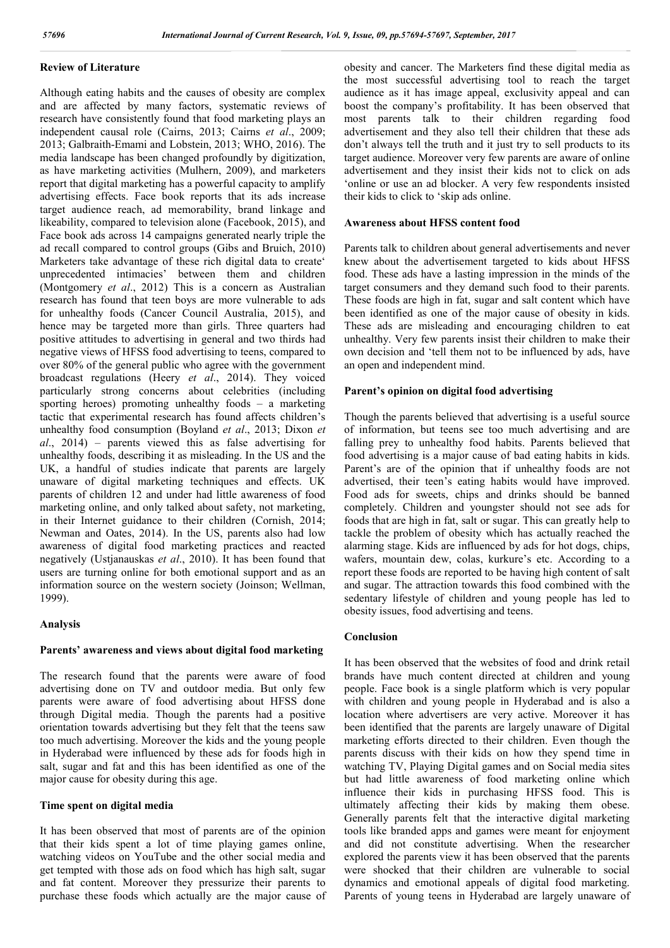## **Review of Literature**

Although eating habits and the causes of obesity are complex and are affected by many factors, systematic reviews of research have consistently found that food marketing plays an independent causal role (Cairns, 2013; Cairns *et al*., 2009; 2013; Galbraith-Emami and Lobstein, 2013; WHO, 2016). The media landscape has been changed profoundly by digitization, as have marketing activities (Mulhern, 2009), and marketers report that digital marketing has a powerful capacity to amplify advertising effects. Face book reports that its ads increase target audience reach, ad memorability, brand linkage and likeability, compared to television alone (Facebook, 2015), and Face book ads across 14 campaigns generated nearly triple the ad recall compared to control groups (Gibs and Bruich, 2010) Marketers take advantage of these rich digital data to create' unprecedented intimacies' between them and children (Montgomery *et al*., 2012) This is a concern as Australian research has found that teen boys are more vulnerable to ads for unhealthy foods (Cancer Council Australia, 2015), and hence may be targeted more than girls. Three quarters had positive attitudes to advertising in general and two thirds had negative views of HFSS food advertising to teens, compared to over 80% of the general public who agree with the government broadcast regulations (Heery *et al*., 2014). They voiced particularly strong concerns about celebrities (including sporting heroes) promoting unhealthy foods – a marketing tactic that experimental research has found affects children's unhealthy food consumption (Boyland *et al*., 2013; Dixon *et al*., 2014) – parents viewed this as false advertising for unhealthy foods, describing it as misleading. In the US and the UK, a handful of studies indicate that parents are largely unaware of digital marketing techniques and effects. UK parents of children 12 and under had little awareness of food marketing online, and only talked about safety, not marketing, in their Internet guidance to their children (Cornish, 2014; Newman and Oates, 2014). In the US, parents also had low awareness of digital food marketing practices and reacted negatively (Ustjanauskas *et al*., 2010). It has been found that users are turning online for both emotional support and as an information source on the western society (Joinson; Wellman, 1999).

## **Analysis**

### **Parents' awareness and views about digital food marketing**

The research found that the parents were aware of food advertising done on TV and outdoor media. But only few parents were aware of food advertising about HFSS done through Digital media. Though the parents had a positive orientation towards advertising but they felt that the teens saw too much advertising. Moreover the kids and the young people in Hyderabad were influenced by these ads for foods high in salt, sugar and fat and this has been identified as one of the major cause for obesity during this age.

## **Time spent on digital media**

It has been observed that most of parents are of the opinion that their kids spent a lot of time playing games online, watching videos on YouTube and the other social media and get tempted with those ads on food which has high salt, sugar and fat content. Moreover they pressurize their parents to purchase these foods which actually are the major cause of obesity and cancer. The Marketers find these digital media as the most successful advertising tool to reach the target audience as it has image appeal, exclusivity appeal and can boost the company's profitability. It has been observed that most parents talk to their children regarding food advertisement and they also tell their children that these ads don't always tell the truth and it just try to sell products to its target audience. Moreover very few parents are aware of online advertisement and they insist their kids not to click on ads 'online or use an ad blocker. A very few respondents insisted their kids to click to 'skip ads online.

## **Awareness about HFSS content food**

Parents talk to children about general advertisements and never knew about the advertisement targeted to kids about HFSS food. These ads have a lasting impression in the minds of the target consumers and they demand such food to their parents. These foods are high in fat, sugar and salt content which have been identified as one of the major cause of obesity in kids. These ads are misleading and encouraging children to eat unhealthy. Very few parents insist their children to make their own decision and 'tell them not to be influenced by ads, have an open and independent mind.

## **Parent's opinion on digital food advertising**

Though the parents believed that advertising is a useful source of information, but teens see too much advertising and are falling prey to unhealthy food habits. Parents believed that food advertising is a major cause of bad eating habits in kids. Parent's are of the opinion that if unhealthy foods are not advertised, their teen's eating habits would have improved. Food ads for sweets, chips and drinks should be banned completely. Children and youngster should not see ads for foods that are high in fat, salt or sugar. This can greatly help to tackle the problem of obesity which has actually reached the alarming stage. Kids are influenced by ads for hot dogs, chips, wafers, mountain dew, colas, kurkure's etc. According to a report these foods are reported to be having high content of salt and sugar. The attraction towards this food combined with the sedentary lifestyle of children and young people has led to obesity issues, food advertising and teens.

## **Conclusion**

It has been observed that the websites of food and drink retail brands have much content directed at children and young people. Face book is a single platform which is very popular with children and young people in Hyderabad and is also a location where advertisers are very active. Moreover it has been identified that the parents are largely unaware of Digital marketing efforts directed to their children. Even though the parents discuss with their kids on how they spend time in watching TV, Playing Digital games and on Social media sites but had little awareness of food marketing online which influence their kids in purchasing HFSS food. This is ultimately affecting their kids by making them obese. Generally parents felt that the interactive digital marketing tools like branded apps and games were meant for enjoyment and did not constitute advertising. When the researcher explored the parents view it has been observed that the parents were shocked that their children are vulnerable to social dynamics and emotional appeals of digital food marketing. Parents of young teens in Hyderabad are largely unaware of